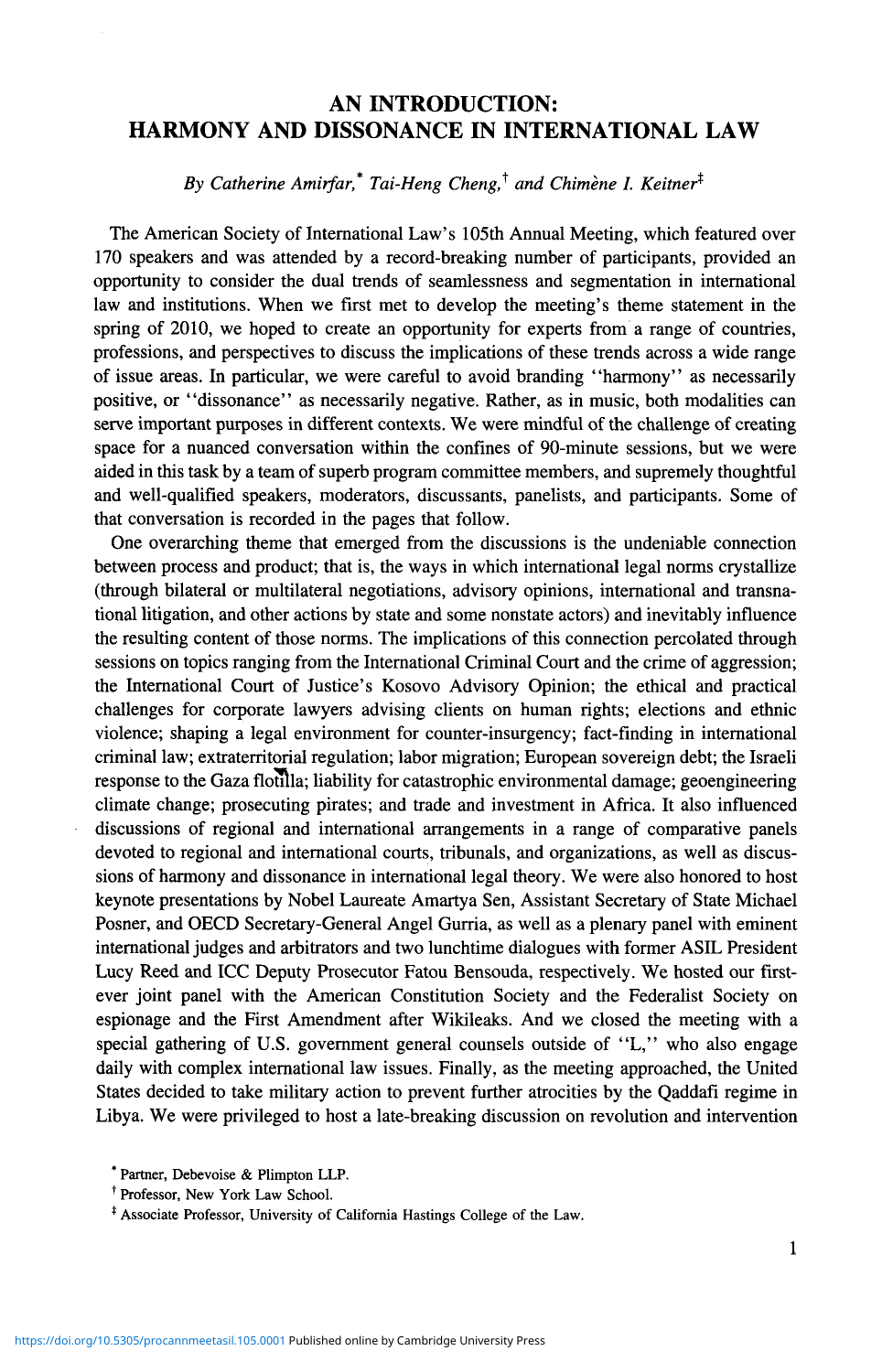## AN INTRODUCTION: HARMONY AND DISSONANCE IN INTERNATIONAL LAW

*By Catherine Amirfar\* Tai-Heng Cheng,^ and Chimene I. Keitner\** 

The American Society of International Law's 105th Annual Meeting, which featured over 170 speakers and was attended by a record-breaking number of participants, provided an opportunity to consider the dual trends of seamlessness and segmentation in international law and institutions. When we first met to develop the meeting's theme statement in the spring of 2010, we hoped to create an opportunity for experts from a range of countries, professions, and perspectives to discuss the implications of these trends across a wide range of issue areas. In particular, we were careful to avoid branding ' 'harmony'' as necessarily positive, or "dissonance" as necessarily negative. Rather, as in music, both modalities can serve important purposes in different contexts. We were mindful of the challenge of creating space for a nuanced conversation within the confines of 90-minute sessions, but we were aided in this task by a team of superb program committee members, and supremely thoughtful and well-qualified speakers, moderators, discussants, panelists, and participants. Some of that conversation is recorded in the pages that follow.

One overarching theme that emerged from the discussions is the undeniable connection between process and product; that is, the ways in which international legal norms crystallize (through bilateral or multilateral negotiations, advisory opinions, international and transnational litigation, and other actions by state and some nonstate actors) and inevitably influence the resulting content of those norms. The implications of this connection percolated through sessions on topics ranging from the International Criminal Court and the crime of aggression; the International Court of Justice's Kosovo Advisory Opinion; the ethical and practical challenges for corporate lawyers advising clients on human rights; elections and ethnic violence; shaping a legal environment for counter-insurgency; fact-finding in international criminal law; extraterritorial regulation; labor migration; European sovereign debt; the Israeli response to the Gaza flotilla; liability for catastrophic environmental damage; geoengineering climate change; prosecuting pirates; and trade and investment in Africa. It also influenced discussions of regional and international arrangements in a range of comparative panels devoted to regional and international courts, tribunals, and organizations, as well as discussions of harmony and dissonance in international legal theory. We were also honored to host keynote presentations by Nobel Laureate Amartya Sen, Assistant Secretary of State Michael Posner, and OECD Secretary-General Angel Gurria, as well as a plenary panel with eminent international judges and arbitrators and two lunchtime dialogues with former ASIL President Lucy Reed and ICC Deputy Prosecutor Fatou Bensouda, respectively. We hosted our firstever joint panel with the American Constitution Society and the Federalist Society on espionage and the First Amendment after Wikileaks. And we closed the meeting with a special gathering of U.S. government general counsels outside of "L," who also engage daily with complex international law issues. Finally, as the meeting approached, the United States decided to take military action to prevent further atrocities by the Qaddafi regime in Libya. We were privileged to host a late-breaking discussion on revolution and intervention

<sup>\*</sup> Partner, Debevoise & Plimpton LLP. f

<sup>&</sup>lt;sup>†</sup> Professor, New York Law School.

<sup>\*</sup> Associate Professor, University of California Hastings College of the Law.